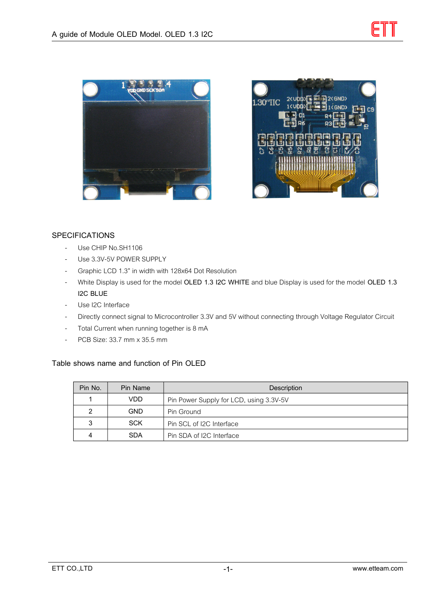



## **SPECIFICATIONS**

- Use CHIP No.SH1106
- Use 3.3V-5V POWER SUPPLY
- Graphic LCD 1.3" in width with 128x64 Dot Resolution
- White Display is used for the model **OLED 1.3 I2C WHITE** and blue Display is used for the model **OLED 1.3 I2C BLUE**
- Use I2C Interface
- Directly connect signal to Microcontroller 3.3V and 5V without connecting through Voltage Regulator Circuit
- Total Current when running together is 8 mA
- PCB Size: 33.7 mm x 35.5 mm

### **Table shows name and function of Pin OLED**

| Pin No. | Pin Name   | Description                             |  |  |  |
|---------|------------|-----------------------------------------|--|--|--|
|         | VDD        | Pin Power Supply for LCD, using 3.3V-5V |  |  |  |
|         | <b>GND</b> | Pin Ground                              |  |  |  |
| 3       | <b>SCK</b> | Pin SCL of I2C Interface                |  |  |  |
|         | <b>SDA</b> | Pin SDA of I2C Interface                |  |  |  |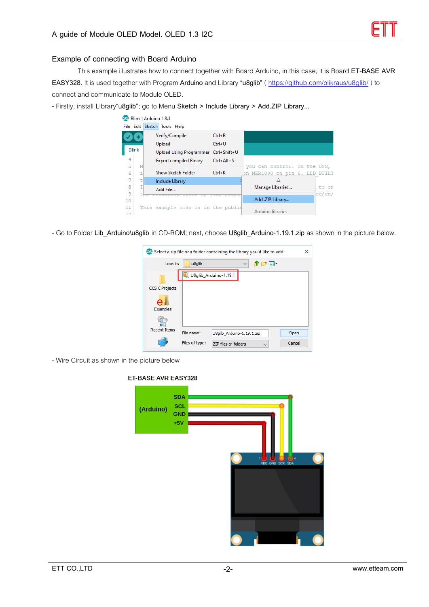#### **Example of connecting with Board Arduino**

This example illustrates how to connect together with Board Arduino, in this case, it is Board **ET-BASE AVR EASY328**. It is used together with Program **Arduino** and Library **"u8glib"** (<https://github.com/olikraus/u8glib/>) to connect and communicate to Module OLED.

- Firstly, install Library**"u8glib"**; go to Menu **Sketch > Include Library > Add.ZIP Library...**

|              |   | <b>CO</b> Blink   Arduino 1.8.3                                   |                  |                   |                                |        |
|--------------|---|-------------------------------------------------------------------|------------------|-------------------|--------------------------------|--------|
|              |   | File Edit Sketch Tools Help                                       |                  |                   |                                |        |
|              |   | Verify/Compile                                                    | $Ctrl + R$       |                   |                                |        |
|              |   | Upload                                                            | $Ctrl + U$       |                   |                                |        |
| <b>Blink</b> |   | Upload Using Programmer Ctrl+Shift+U                              |                  |                   |                                |        |
| 4            |   | <b>Export compiled Binary</b>                                     | $Ctrl + Alt + S$ |                   |                                |        |
| 5            | M |                                                                   |                  |                   | you can control. On the UNO,   |        |
| 6            |   | Show Sketch Folder                                                | $Ctrl + K$       |                   | bn MKR1000 on pin 6. LED BUILT |        |
| 7            |   | Include Library                                                   |                  |                   | Λ                              |        |
| 8            |   | Add File                                                          |                  | Manage Libraries  |                                | to on  |
| 9            |   | <u>ਦਾ ਦਾ ਦਾ ਦਾ ਦਾ </u><br><b><i><u>Programmation</u></i></b><br>ᆓ |                  |                   |                                | cc/en/ |
| 10           |   |                                                                   |                  | Add .ZIP Library  |                                |        |
| 11           |   | This example code is in the publid                                |                  | Arduino libraries |                                |        |
| 12           |   |                                                                   |                  |                   |                                |        |

- Go to Folder **Lib\_Arduino\u8glib** in CD-ROM; next, choose **U8glib\_Arduino-1.19.1.zip** as shown in the picture below.

| ×<br>CO Select a zip file or a folder containing the library you'd like to add |                       |                           |              |              |        |  |  |
|--------------------------------------------------------------------------------|-----------------------|---------------------------|--------------|--------------|--------|--|--|
| Look in:                                                                       | u <sub>8</sub> qlib   |                           | $\checkmark$ | ● [2] ⊞ -    |        |  |  |
|                                                                                | U8glib_Arduino-1.19.1 |                           |              |              |        |  |  |
| <b>CCS C Projects</b>                                                          |                       |                           |              |              |        |  |  |
| <b>Examples</b>                                                                |                       |                           |              |              |        |  |  |
|                                                                                |                       |                           |              |              |        |  |  |
| <b>Recent Items</b>                                                            | File name:            | U8glib Arduino-1.19.1.zip |              |              | Open   |  |  |
|                                                                                | Files of type:        | ZIP files or folders      |              | $\checkmark$ | Cancel |  |  |

- Wire Circuit as shown in the picture below

# **SDA** SCL (Arduino) **GND**  $+5V$

#### **ET-BASE AVR EASY328**